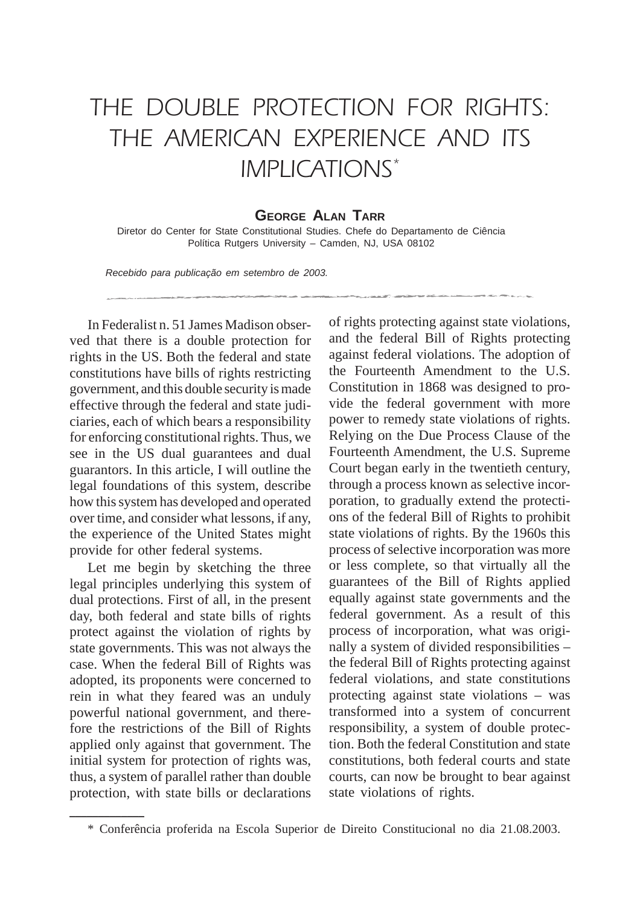## THE DOUBLE PROTECTION FOR RIGHTS: THE AMERICAN EXPERIENCE AND ITS IMPLICATIONS\*

## **GEORGE ALAN TARR**

Diretor do Center for State Constitutional Studies. Chefe do Departamento de Ciência Política Rutgers University – Camden, NJ, USA 08102

Recebido para publicação em setembro de 2003.

In Federalist n. 51 James Madison observed that there is a double protection for rights in the US. Both the federal and state constitutions have bills of rights restricting government, and this double security is made effective through the federal and state judiciaries, each of which bears a responsibility for enforcing constitutional rights. Thus, we see in the US dual guarantees and dual guarantors. In this article, I will outline the legal foundations of this system, describe how this system has developed and operated over time, and consider what lessons, if any, the experience of the United States might provide for other federal systems.

Let me begin by sketching the three legal principles underlying this system of dual protections. First of all, in the present day, both federal and state bills of rights protect against the violation of rights by state governments. This was not always the case. When the federal Bill of Rights was adopted, its proponents were concerned to rein in what they feared was an unduly powerful national government, and therefore the restrictions of the Bill of Rights applied only against that government. The initial system for protection of rights was, thus, a system of parallel rather than double protection, with state bills or declarations

**\_\_\_\_\_\_\_\_\_\_\_\_\_**

of rights protecting against state violations, and the federal Bill of Rights protecting against federal violations. The adoption of the Fourteenth Amendment to the U.S. Constitution in 1868 was designed to provide the federal government with more power to remedy state violations of rights. Relying on the Due Process Clause of the Fourteenth Amendment, the U.S. Supreme Court began early in the twentieth century, through a process known as selective incorporation, to gradually extend the protections of the federal Bill of Rights to prohibit state violations of rights. By the 1960s this process of selective incorporation was more or less complete, so that virtually all the guarantees of the Bill of Rights applied equally against state governments and the federal government. As a result of this process of incorporation, what was originally a system of divided responsibilities – the federal Bill of Rights protecting against federal violations, and state constitutions protecting against state violations – was transformed into a system of concurrent responsibility, a system of double protection. Both the federal Constitution and state constitutions, both federal courts and state courts, can now be brought to bear against state violations of rights.

<sup>\*</sup> Conferência proferida na Escola Superior de Direito Constitucional no dia 21.08.2003.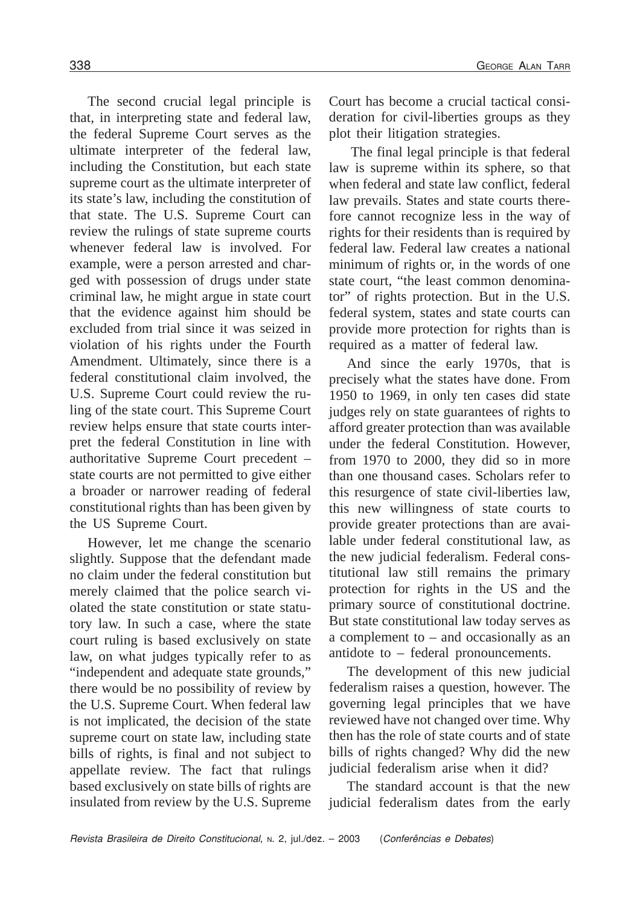The second crucial legal principle is that, in interpreting state and federal law, the federal Supreme Court serves as the ultimate interpreter of the federal law, including the Constitution, but each state supreme court as the ultimate interpreter of its state's law, including the constitution of that state. The U.S. Supreme Court can review the rulings of state supreme courts whenever federal law is involved. For example, were a person arrested and charged with possession of drugs under state criminal law, he might argue in state court that the evidence against him should be excluded from trial since it was seized in violation of his rights under the Fourth Amendment. Ultimately, since there is a federal constitutional claim involved, the U.S. Supreme Court could review the ruling of the state court. This Supreme Court review helps ensure that state courts interpret the federal Constitution in line with authoritative Supreme Court precedent – state courts are not permitted to give either a broader or narrower reading of federal constitutional rights than has been given by the US Supreme Court.

However, let me change the scenario slightly. Suppose that the defendant made no claim under the federal constitution but merely claimed that the police search violated the state constitution or state statutory law. In such a case, where the state court ruling is based exclusively on state law, on what judges typically refer to as "independent and adequate state grounds," there would be no possibility of review by the U.S. Supreme Court. When federal law is not implicated, the decision of the state supreme court on state law, including state bills of rights, is final and not subject to appellate review. The fact that rulings based exclusively on state bills of rights are insulated from review by the U.S. Supreme Court has become a crucial tactical consideration for civil-liberties groups as they plot their litigation strategies.

The final legal principle is that federal law is supreme within its sphere, so that when federal and state law conflict, federal law prevails. States and state courts therefore cannot recognize less in the way of rights for their residents than is required by federal law. Federal law creates a national minimum of rights or, in the words of one state court, "the least common denominator" of rights protection. But in the U.S. federal system, states and state courts can provide more protection for rights than is required as a matter of federal law.

And since the early 1970s, that is precisely what the states have done. From 1950 to 1969, in only ten cases did state judges rely on state guarantees of rights to afford greater protection than was available under the federal Constitution. However, from 1970 to 2000, they did so in more than one thousand cases. Scholars refer to this resurgence of state civil-liberties law, this new willingness of state courts to provide greater protections than are available under federal constitutional law, as the new judicial federalism. Federal constitutional law still remains the primary protection for rights in the US and the primary source of constitutional doctrine. But state constitutional law today serves as a complement to – and occasionally as an antidote to – federal pronouncements.

The development of this new judicial federalism raises a question, however. The governing legal principles that we have reviewed have not changed over time. Why then has the role of state courts and of state bills of rights changed? Why did the new judicial federalism arise when it did?

The standard account is that the new judicial federalism dates from the early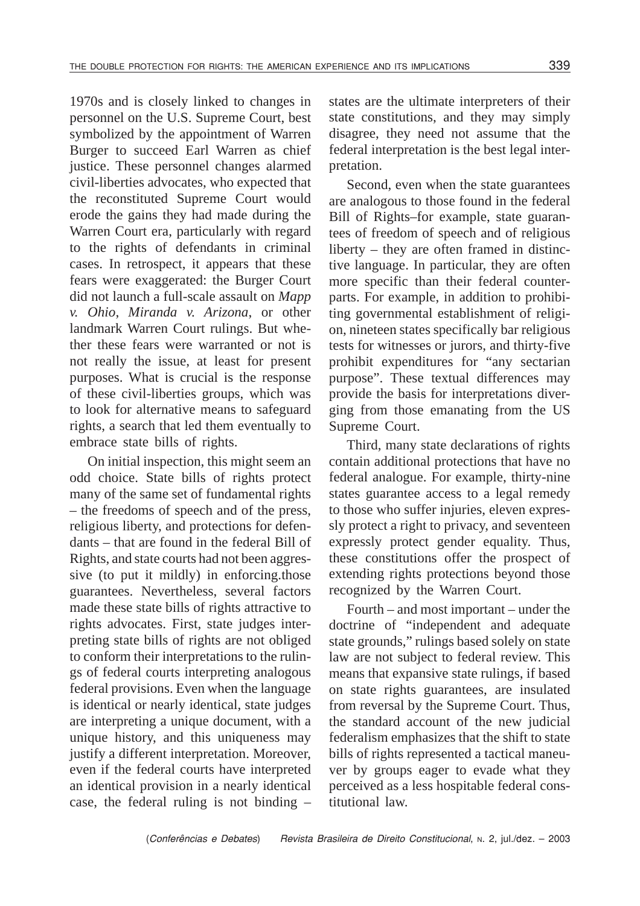1970s and is closely linked to changes in personnel on the U.S. Supreme Court, best symbolized by the appointment of Warren Burger to succeed Earl Warren as chief justice. These personnel changes alarmed civil-liberties advocates, who expected that the reconstituted Supreme Court would erode the gains they had made during the Warren Court era, particularly with regard to the rights of defendants in criminal cases. In retrospect, it appears that these fears were exaggerated: the Burger Court did not launch a full-scale assault on *Mapp v. Ohio*, *Miranda v. Arizona*, or other landmark Warren Court rulings. But whether these fears were warranted or not is not really the issue, at least for present purposes. What is crucial is the response of these civil-liberties groups, which was to look for alternative means to safeguard rights, a search that led them eventually to embrace state bills of rights.

On initial inspection, this might seem an odd choice. State bills of rights protect many of the same set of fundamental rights – the freedoms of speech and of the press, religious liberty, and protections for defendants – that are found in the federal Bill of Rights, and state courts had not been aggressive (to put it mildly) in enforcing.those guarantees. Nevertheless, several factors made these state bills of rights attractive to rights advocates. First, state judges interpreting state bills of rights are not obliged to conform their interpretations to the rulings of federal courts interpreting analogous federal provisions. Even when the language is identical or nearly identical, state judges are interpreting a unique document, with a unique history, and this uniqueness may justify a different interpretation. Moreover, even if the federal courts have interpreted an identical provision in a nearly identical case, the federal ruling is not binding –

states are the ultimate interpreters of their state constitutions, and they may simply disagree, they need not assume that the federal interpretation is the best legal interpretation.

Second, even when the state guarantees are analogous to those found in the federal Bill of Rights–for example, state guarantees of freedom of speech and of religious liberty – they are often framed in distinctive language. In particular, they are often more specific than their federal counterparts. For example, in addition to prohibiting governmental establishment of religion, nineteen states specifically bar religious tests for witnesses or jurors, and thirty-five prohibit expenditures for "any sectarian purpose". These textual differences may provide the basis for interpretations diverging from those emanating from the US Supreme Court.

Third, many state declarations of rights contain additional protections that have no federal analogue. For example, thirty-nine states guarantee access to a legal remedy to those who suffer injuries, eleven expressly protect a right to privacy, and seventeen expressly protect gender equality. Thus, these constitutions offer the prospect of extending rights protections beyond those recognized by the Warren Court.

Fourth – and most important – under the doctrine of "independent and adequate state grounds," rulings based solely on state law are not subject to federal review. This means that expansive state rulings, if based on state rights guarantees, are insulated from reversal by the Supreme Court. Thus, the standard account of the new judicial federalism emphasizes that the shift to state bills of rights represented a tactical maneuver by groups eager to evade what they perceived as a less hospitable federal constitutional law.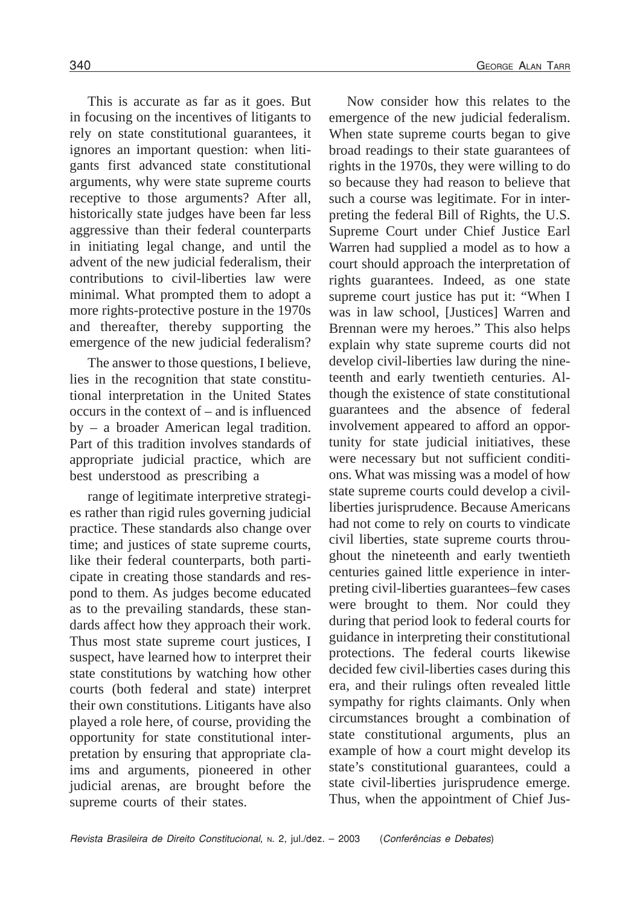This is accurate as far as it goes. But in focusing on the incentives of litigants to rely on state constitutional guarantees, it ignores an important question: when litigants first advanced state constitutional arguments, why were state supreme courts receptive to those arguments? After all, historically state judges have been far less aggressive than their federal counterparts in initiating legal change, and until the advent of the new judicial federalism, their contributions to civil-liberties law were minimal. What prompted them to adopt a more rights-protective posture in the 1970s and thereafter, thereby supporting the emergence of the new judicial federalism?

The answer to those questions, I believe, lies in the recognition that state constitutional interpretation in the United States occurs in the context of – and is influenced by – a broader American legal tradition. Part of this tradition involves standards of appropriate judicial practice, which are best understood as prescribing a

range of legitimate interpretive strategies rather than rigid rules governing judicial practice. These standards also change over time; and justices of state supreme courts, like their federal counterparts, both participate in creating those standards and respond to them. As judges become educated as to the prevailing standards, these standards affect how they approach their work. Thus most state supreme court justices, I suspect, have learned how to interpret their state constitutions by watching how other courts (both federal and state) interpret their own constitutions. Litigants have also played a role here, of course, providing the opportunity for state constitutional interpretation by ensuring that appropriate claims and arguments, pioneered in other judicial arenas, are brought before the supreme courts of their states.

emergence of the new judicial federalism. When state supreme courts began to give broad readings to their state guarantees of rights in the 1970s, they were willing to do so because they had reason to believe that such a course was legitimate. For in interpreting the federal Bill of Rights, the U.S. Supreme Court under Chief Justice Earl Warren had supplied a model as to how a court should approach the interpretation of rights guarantees. Indeed, as one state supreme court justice has put it: "When I was in law school, [Justices] Warren and Brennan were my heroes." This also helps explain why state supreme courts did not develop civil-liberties law during the nineteenth and early twentieth centuries. Although the existence of state constitutional guarantees and the absence of federal involvement appeared to afford an opportunity for state judicial initiatives, these were necessary but not sufficient conditions. What was missing was a model of how state supreme courts could develop a civilliberties jurisprudence. Because Americans had not come to rely on courts to vindicate civil liberties, state supreme courts throughout the nineteenth and early twentieth centuries gained little experience in interpreting civil-liberties guarantees–few cases were brought to them. Nor could they during that period look to federal courts for guidance in interpreting their constitutional protections. The federal courts likewise decided few civil-liberties cases during this era, and their rulings often revealed little sympathy for rights claimants. Only when circumstances brought a combination of state constitutional arguments, plus an example of how a court might develop its state's constitutional guarantees, could a state civil-liberties jurisprudence emerge. Thus, when the appointment of Chief Jus-

Now consider how this relates to the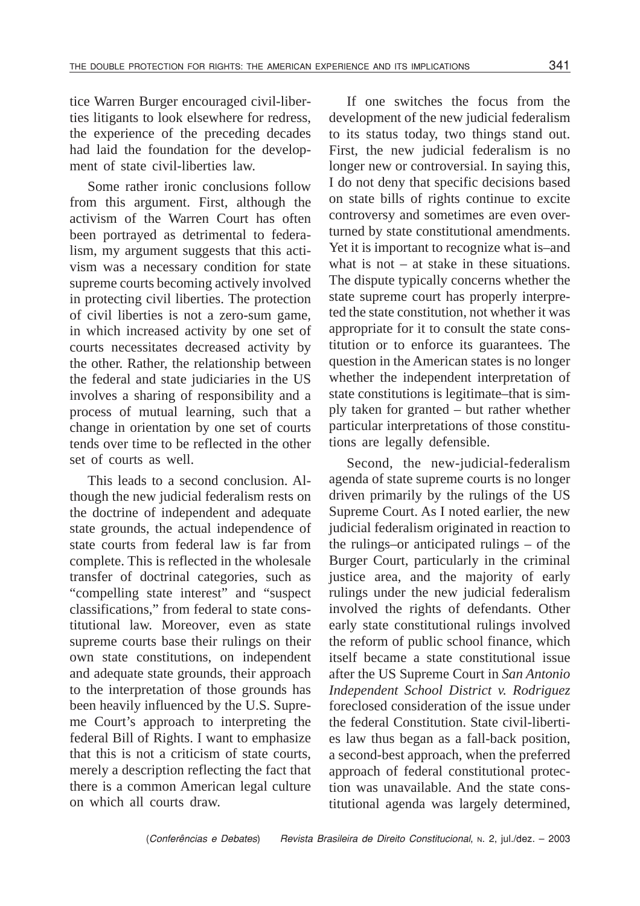tice Warren Burger encouraged civil-liberties litigants to look elsewhere for redress, the experience of the preceding decades had laid the foundation for the development of state civil-liberties law.

Some rather ironic conclusions follow from this argument. First, although the activism of the Warren Court has often been portrayed as detrimental to federalism, my argument suggests that this activism was a necessary condition for state supreme courts becoming actively involved in protecting civil liberties. The protection of civil liberties is not a zero-sum game, in which increased activity by one set of courts necessitates decreased activity by the other. Rather, the relationship between the federal and state judiciaries in the US involves a sharing of responsibility and a process of mutual learning, such that a change in orientation by one set of courts tends over time to be reflected in the other set of courts as well.

This leads to a second conclusion. Although the new judicial federalism rests on the doctrine of independent and adequate state grounds, the actual independence of state courts from federal law is far from complete. This is reflected in the wholesale transfer of doctrinal categories, such as "compelling state interest" and "suspect classifications," from federal to state constitutional law. Moreover, even as state supreme courts base their rulings on their own state constitutions, on independent and adequate state grounds, their approach to the interpretation of those grounds has been heavily influenced by the U.S. Supreme Court's approach to interpreting the federal Bill of Rights. I want to emphasize that this is not a criticism of state courts, merely a description reflecting the fact that there is a common American legal culture on which all courts draw.

If one switches the focus from the development of the new judicial federalism to its status today, two things stand out. First, the new judicial federalism is no longer new or controversial. In saying this, I do not deny that specific decisions based on state bills of rights continue to excite controversy and sometimes are even overturned by state constitutional amendments. Yet it is important to recognize what is–and what is not – at stake in these situations. The dispute typically concerns whether the state supreme court has properly interpreted the state constitution, not whether it was appropriate for it to consult the state constitution or to enforce its guarantees. The question in the American states is no longer whether the independent interpretation of state constitutions is legitimate–that is simply taken for granted – but rather whether particular interpretations of those constitutions are legally defensible.

Second, the new-judicial-federalism agenda of state supreme courts is no longer driven primarily by the rulings of the US Supreme Court. As I noted earlier, the new judicial federalism originated in reaction to the rulings–or anticipated rulings – of the Burger Court, particularly in the criminal justice area, and the majority of early rulings under the new judicial federalism involved the rights of defendants. Other early state constitutional rulings involved the reform of public school finance, which itself became a state constitutional issue after the US Supreme Court in *San Antonio Independent School District v. Rodriguez* foreclosed consideration of the issue under the federal Constitution. State civil-liberties law thus began as a fall-back position, a second-best approach, when the preferred approach of federal constitutional protection was unavailable. And the state constitutional agenda was largely determined,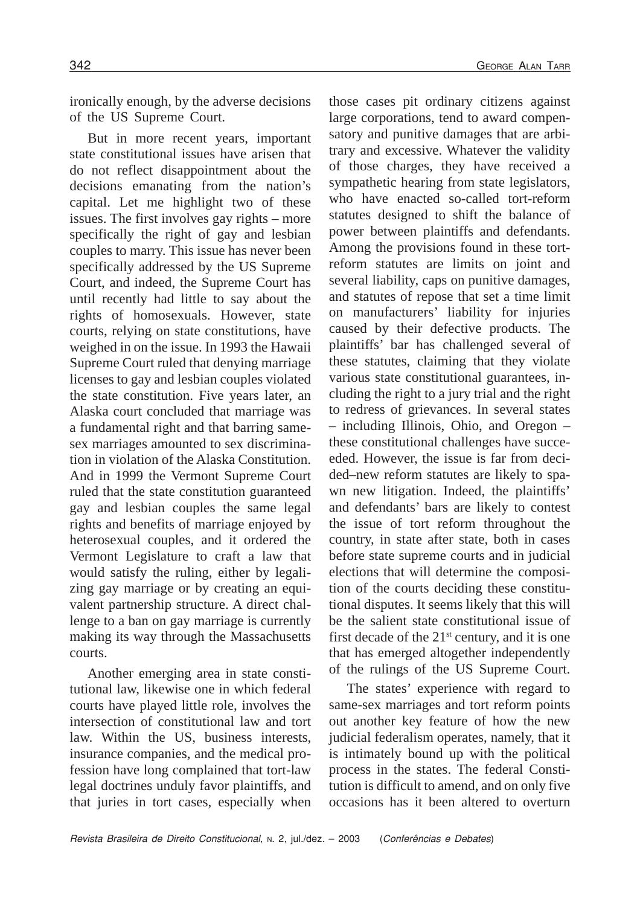ironically enough, by the adverse decisions of the US Supreme Court.

But in more recent years, important state constitutional issues have arisen that do not reflect disappointment about the decisions emanating from the nation's capital. Let me highlight two of these issues. The first involves gay rights – more specifically the right of gay and lesbian couples to marry. This issue has never been specifically addressed by the US Supreme Court, and indeed, the Supreme Court has until recently had little to say about the rights of homosexuals. However, state courts, relying on state constitutions, have weighed in on the issue. In 1993 the Hawaii Supreme Court ruled that denying marriage licenses to gay and lesbian couples violated the state constitution. Five years later, an Alaska court concluded that marriage was a fundamental right and that barring samesex marriages amounted to sex discrimination in violation of the Alaska Constitution. And in 1999 the Vermont Supreme Court ruled that the state constitution guaranteed gay and lesbian couples the same legal rights and benefits of marriage enjoyed by heterosexual couples, and it ordered the Vermont Legislature to craft a law that would satisfy the ruling, either by legalizing gay marriage or by creating an equivalent partnership structure. A direct challenge to a ban on gay marriage is currently making its way through the Massachusetts courts.

Another emerging area in state constitutional law, likewise one in which federal courts have played little role, involves the intersection of constitutional law and tort law. Within the US, business interests, insurance companies, and the medical profession have long complained that tort-law legal doctrines unduly favor plaintiffs, and that juries in tort cases, especially when

those cases pit ordinary citizens against large corporations, tend to award compensatory and punitive damages that are arbitrary and excessive. Whatever the validity of those charges, they have received a sympathetic hearing from state legislators, who have enacted so-called tort-reform statutes designed to shift the balance of power between plaintiffs and defendants. Among the provisions found in these tortreform statutes are limits on joint and several liability, caps on punitive damages, and statutes of repose that set a time limit on manufacturers' liability for injuries caused by their defective products. The plaintiffs' bar has challenged several of these statutes, claiming that they violate various state constitutional guarantees, including the right to a jury trial and the right to redress of grievances. In several states – including Illinois, Ohio, and Oregon – these constitutional challenges have succeeded. However, the issue is far from decided–new reform statutes are likely to spawn new litigation. Indeed, the plaintiffs' and defendants' bars are likely to contest the issue of tort reform throughout the country, in state after state, both in cases before state supreme courts and in judicial elections that will determine the composition of the courts deciding these constitutional disputes. It seems likely that this will be the salient state constitutional issue of first decade of the  $21<sup>st</sup>$  century, and it is one that has emerged altogether independently of the rulings of the US Supreme Court.

The states' experience with regard to same-sex marriages and tort reform points out another key feature of how the new judicial federalism operates, namely, that it is intimately bound up with the political process in the states. The federal Constitution is difficult to amend, and on only five occasions has it been altered to overturn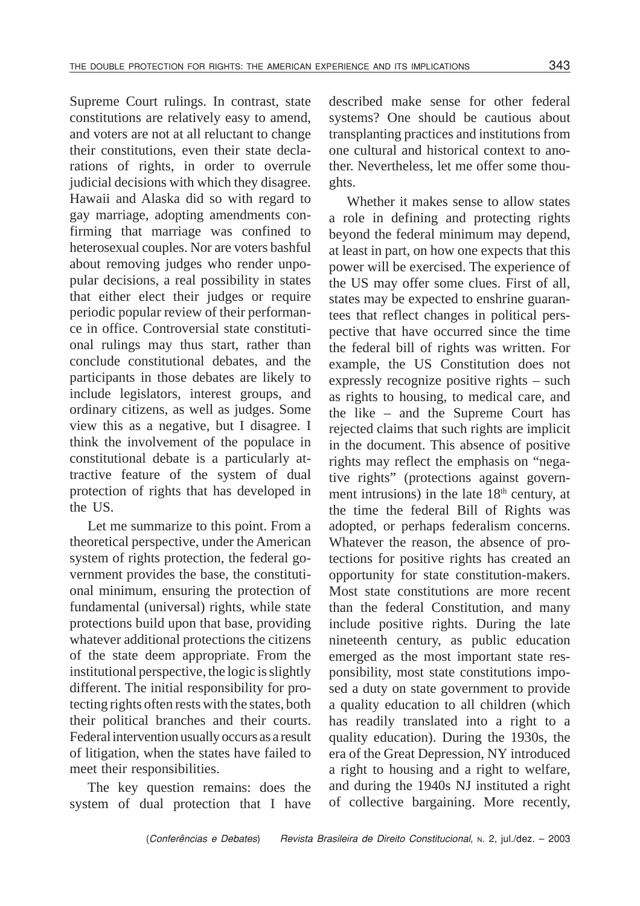Supreme Court rulings. In contrast, state constitutions are relatively easy to amend, and voters are not at all reluctant to change their constitutions, even their state declarations of rights, in order to overrule judicial decisions with which they disagree. Hawaii and Alaska did so with regard to gay marriage, adopting amendments confirming that marriage was confined to heterosexual couples. Nor are voters bashful about removing judges who render unpopular decisions, a real possibility in states that either elect their judges or require periodic popular review of their performance in office. Controversial state constitutional rulings may thus start, rather than conclude constitutional debates, and the participants in those debates are likely to include legislators, interest groups, and ordinary citizens, as well as judges. Some view this as a negative, but I disagree. I think the involvement of the populace in constitutional debate is a particularly attractive feature of the system of dual protection of rights that has developed in the US.

Let me summarize to this point. From a theoretical perspective, under the American system of rights protection, the federal government provides the base, the constitutional minimum, ensuring the protection of fundamental (universal) rights, while state protections build upon that base, providing whatever additional protections the citizens of the state deem appropriate. From the institutional perspective, the logic is slightly different. The initial responsibility for protecting rights often rests with the states, both their political branches and their courts. Federal intervention usually occurs as a result of litigation, when the states have failed to meet their responsibilities.

The key question remains: does the system of dual protection that I have described make sense for other federal systems? One should be cautious about transplanting practices and institutions from one cultural and historical context to another. Nevertheless, let me offer some thoughts.

Whether it makes sense to allow states a role in defining and protecting rights beyond the federal minimum may depend, at least in part, on how one expects that this power will be exercised. The experience of the US may offer some clues. First of all, states may be expected to enshrine guarantees that reflect changes in political perspective that have occurred since the time the federal bill of rights was written. For example, the US Constitution does not expressly recognize positive rights – such as rights to housing, to medical care, and the like – and the Supreme Court has rejected claims that such rights are implicit in the document. This absence of positive rights may reflect the emphasis on "negative rights" (protections against government intrusions) in the late  $18<sup>th</sup>$  century, at the time the federal Bill of Rights was adopted, or perhaps federalism concerns. Whatever the reason, the absence of protections for positive rights has created an opportunity for state constitution-makers. Most state constitutions are more recent than the federal Constitution, and many include positive rights. During the late nineteenth century, as public education emerged as the most important state responsibility, most state constitutions imposed a duty on state government to provide a quality education to all children (which has readily translated into a right to a quality education). During the 1930s, the era of the Great Depression, NY introduced a right to housing and a right to welfare, and during the 1940s NJ instituted a right of collective bargaining. More recently,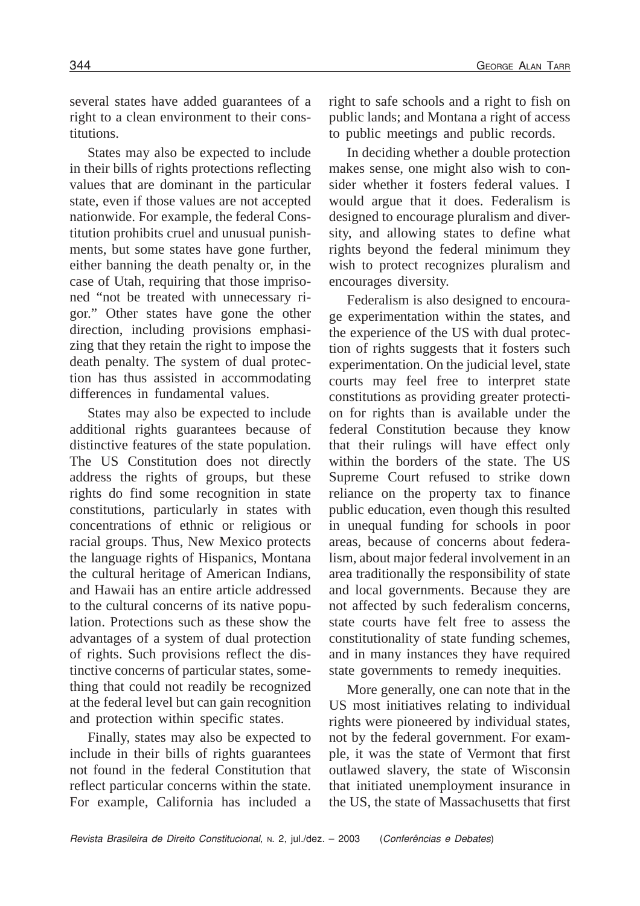several states have added guarantees of a right to a clean environment to their constitutions.

States may also be expected to include in their bills of rights protections reflecting values that are dominant in the particular state, even if those values are not accepted nationwide. For example, the federal Constitution prohibits cruel and unusual punishments, but some states have gone further, either banning the death penalty or, in the case of Utah, requiring that those imprisoned "not be treated with unnecessary rigor." Other states have gone the other direction, including provisions emphasizing that they retain the right to impose the death penalty. The system of dual protection has thus assisted in accommodating differences in fundamental values.

States may also be expected to include additional rights guarantees because of distinctive features of the state population. The US Constitution does not directly address the rights of groups, but these rights do find some recognition in state constitutions, particularly in states with concentrations of ethnic or religious or racial groups. Thus, New Mexico protects the language rights of Hispanics, Montana the cultural heritage of American Indians, and Hawaii has an entire article addressed to the cultural concerns of its native population. Protections such as these show the advantages of a system of dual protection of rights. Such provisions reflect the distinctive concerns of particular states, something that could not readily be recognized at the federal level but can gain recognition and protection within specific states.

Finally, states may also be expected to include in their bills of rights guarantees not found in the federal Constitution that reflect particular concerns within the state. For example, California has included a right to safe schools and a right to fish on public lands; and Montana a right of access to public meetings and public records.

In deciding whether a double protection makes sense, one might also wish to consider whether it fosters federal values. I would argue that it does. Federalism is designed to encourage pluralism and diversity, and allowing states to define what rights beyond the federal minimum they wish to protect recognizes pluralism and encourages diversity.

Federalism is also designed to encourage experimentation within the states, and the experience of the US with dual protection of rights suggests that it fosters such experimentation. On the judicial level, state courts may feel free to interpret state constitutions as providing greater protection for rights than is available under the federal Constitution because they know that their rulings will have effect only within the borders of the state. The US Supreme Court refused to strike down reliance on the property tax to finance public education, even though this resulted in unequal funding for schools in poor areas, because of concerns about federalism, about major federal involvement in an area traditionally the responsibility of state and local governments. Because they are not affected by such federalism concerns, state courts have felt free to assess the constitutionality of state funding schemes, and in many instances they have required state governments to remedy inequities.

More generally, one can note that in the US most initiatives relating to individual rights were pioneered by individual states, not by the federal government. For example, it was the state of Vermont that first outlawed slavery, the state of Wisconsin that initiated unemployment insurance in the US, the state of Massachusetts that first